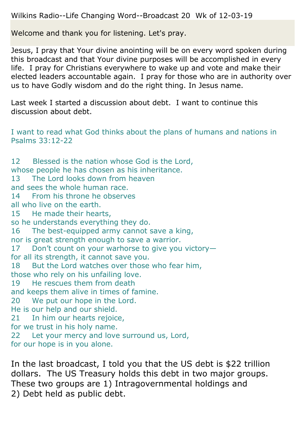Wilkins Radio--Life Changing Word--Broadcast 20 Wk of 12-03-19

Welcome and thank you for listening. Let's pray.

Jesus, I pray that Your divine anointing will be on every word spoken during this broadcast and that Your divine purposes will be accomplished in every life. I pray for Christians everywhere to wake up and vote and make their elected leaders accountable again. I pray for those who are in authority over us to have Godly wisdom and do the right thing. In Jesus name.

Last week I started a discussion about debt. I want to continue this discussion about debt.

I want to read what God thinks about the plans of humans and nations in Psalms 33:12-22

12 Blessed is the nation whose God is the Lord, whose people he has chosen as his inheritance. 13 The Lord looks down from heaven and sees the whole human race. 14 From his throne he observes all who live on the earth. 15 He made their hearts, so he understands everything they do. 16 The best-equipped army cannot save a king, nor is great strength enough to save a warrior. 17 Don't count on your warhorse to give you victory for all its strength, it cannot save you. 18 But the Lord watches over those who fear him, those who rely on his unfailing love. 19 He rescues them from death and keeps them alive in times of famine. 20 We put our hope in the Lord. He is our help and our shield. 21 In him our hearts rejoice, for we trust in his holy name. 22 Let your mercy and love surround us, Lord, for our hope is in you alone.

In the last broadcast, I told you that the US debt is \$22 trillion dollars. The US Treasury holds this debt in two major groups. These two groups are 1) Intragovernmental holdings and 2) Debt held as public debt.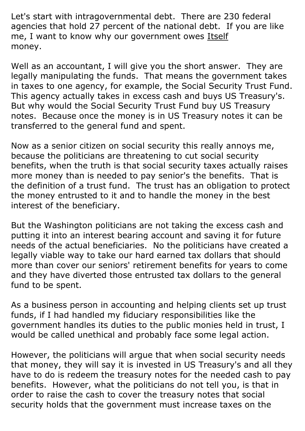Let's start with intragovernmental debt. There are 230 federal agencies that hold 27 percent of the national debt. If you are like me, I want to know why our government owes Itself money.

Well as an accountant, I will give you the short answer. They are legally manipulating the funds. That means the government takes in taxes to one agency, for example, the Social Security Trust Fund. This agency actually takes in excess cash and buys US Treasury's. But why would the Social Security Trust Fund buy US Treasury notes. Because once the money is in US Treasury notes it can be transferred to the general fund and spent.

Now as a senior citizen on social security this really annoys me, because the politicians are threatening to cut social security benefits, when the truth is that social security taxes actually raises more money than is needed to pay senior's the benefits. That is the definition of a trust fund. The trust has an obligation to protect the money entrusted to it and to handle the money in the best interest of the beneficiary.

But the Washington politicians are not taking the excess cash and putting it into an interest bearing account and saving it for future needs of the actual beneficiaries. No the politicians have created a legally viable way to take our hard earned tax dollars that should more than cover our seniors' retirement benefits for years to come and they have diverted those entrusted tax dollars to the general fund to be spent.

As a business person in accounting and helping clients set up trust funds, if I had handled my fiduciary responsibilities like the government handles its duties to the public monies held in trust, I would be called unethical and probably face some legal action.

However, the politicians will argue that when social security needs that money, they will say it is invested in US Treasury's and all they have to do is redeem the treasury notes for the needed cash to pay benefits. However, what the politicians do not tell you, is that in order to raise the cash to cover the treasury notes that social security holds that the government must increase taxes on the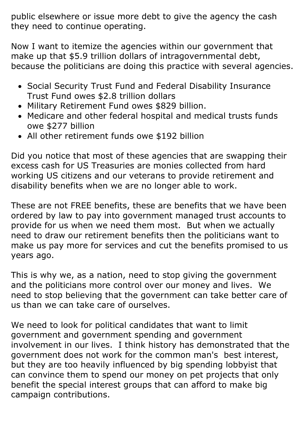public elsewhere or issue more debt to give the agency the cash they need to continue operating.

Now I want to itemize the agencies within our government that make up that \$5.9 trillion dollars of intragovernmental debt, because the politicians are doing this practice with several agencies.

- Social Security Trust Fund and Federal Disability Insurance Trust Fund owes \$2.8 trillion dollars
- Military Retirement Fund owes \$829 billion.
- Medicare and other federal hospital and medical trusts funds owe \$277 billion
- All other retirement funds owe \$192 billion

Did you notice that most of these agencies that are swapping their excess cash for US Treasuries are monies collected from hard working US citizens and our veterans to provide retirement and disability benefits when we are no longer able to work.

These are not FREE benefits, these are benefits that we have been ordered by law to pay into government managed trust accounts to provide for us when we need them most. But when we actually need to draw our retirement benefits then the politicians want to make us pay more for services and cut the benefits promised to us years ago.

This is why we, as a nation, need to stop giving the government and the politicians more control over our money and lives. We need to stop believing that the government can take better care of us than we can take care of ourselves.

We need to look for political candidates that want to limit government and government spending and government involvement in our lives. I think history has demonstrated that the government does not work for the common man's best interest, but they are too heavily influenced by big spending lobbyist that can convince them to spend our money on pet projects that only benefit the special interest groups that can afford to make big campaign contributions.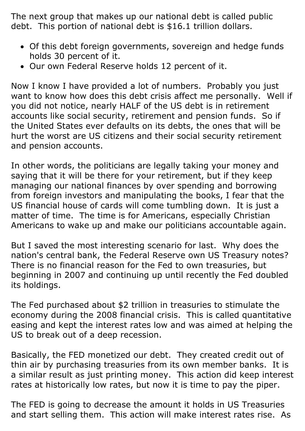The next group that makes up our national debt is called public debt. This portion of national debt is \$16.1 trillion dollars.

- Of this debt foreign governments, sovereign and hedge funds holds 30 percent of it.
- Our own Federal Reserve holds 12 percent of it.

Now I know I have provided a lot of numbers. Probably you just want to know how does this debt crisis affect me personally. Well if you did not notice, nearly HALF of the US debt is in retirement accounts like social security, retirement and pension funds. So if the United States ever defaults on its debts, the ones that will be hurt the worst are US citizens and their social security retirement and pension accounts.

In other words, the politicians are legally taking your money and saying that it will be there for your retirement, but if they keep managing our national finances by over spending and borrowing from foreign investors and manipulating the books, I fear that the US financial house of cards will come tumbling down. It is just a matter of time. The time is for Americans, especially Christian Americans to wake up and make our politicians accountable again.

But I saved the most interesting scenario for last. Why does the nation's central bank, the Federal Reserve own US Treasury notes? There is no financial reason for the Fed to own treasuries, but beginning in 2007 and continuing up until recently the Fed doubled its holdings.

The Fed purchased about \$2 trillion in treasuries to stimulate the economy during the 2008 financial crisis. This is called quantitative easing and kept the interest rates low and was aimed at helping the US to break out of a deep recession.

Basically, the FED monetized our debt. They created credit out of thin air by purchasing treasuries from its own member banks. It is a similar result as just printing money. This action did keep interest rates at historically low rates, but now it is time to pay the piper.

The FED is going to decrease the amount it holds in US Treasuries and start selling them. This action will make interest rates rise. As